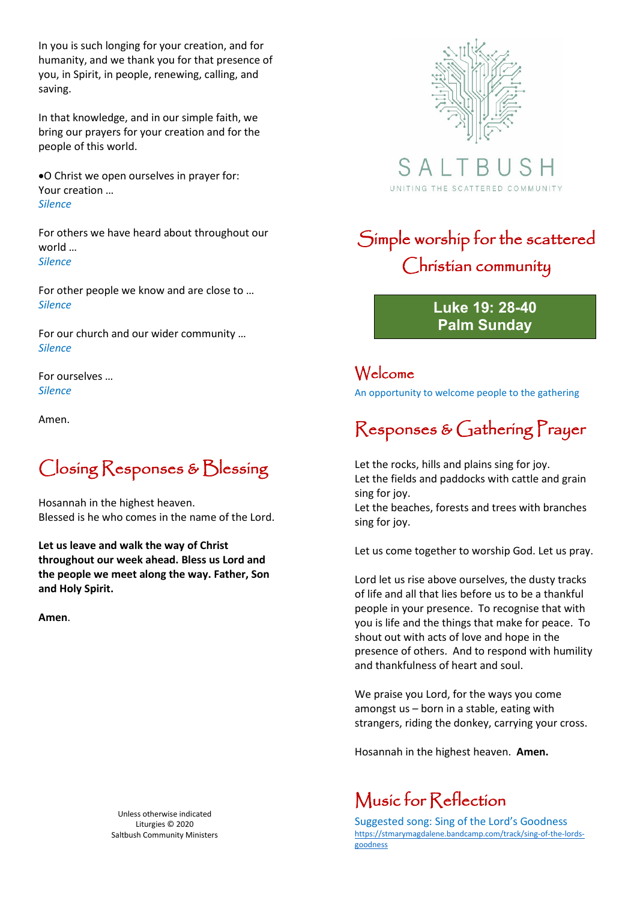In you is such longing for your creation, and for humanity, and we thank you for that presence of you, in Spirit, in people, renewing, calling, and saving.

In that knowledge, and in our simple faith, we bring our prayers for your creation and for the people of this world.

•O Christ we open ourselves in prayer for: Your creation … *Silence*

For others we have heard about throughout our world … *Silence*

For other people we know and are close to … *Silence*

For our church and our wider community … *Silence*

For ourselves … *Silence*

Amen.

### Closing Responses & Blessing

Hosannah in the highest heaven. Blessed is he who comes in the name of the Lord.

**Let us leave and walk the way of Christ throughout our week ahead. Bless us Lord and the people we meet along the way. Father, Son and Holy Spirit.** 

**Amen**.

Unless otherwise indicated Liturgies © 2020 Saltbush Community Ministers



S A UNITING THE SCATTERED COMMUNITY

## Simple worship for the scattered Christian community

**Luke 19: 28-40 Palm Sunday**

Welcome

An opportunity to welcome people to the gathering

# Responses & Gathering Prayer

Let the rocks, hills and plains sing for joy. Let the fields and paddocks with cattle and grain sing for joy. Let the beaches, forests and trees with branches

sing for joy.

Let us come together to worship God. Let us pray.

Lord let us rise above ourselves, the dusty tracks of life and all that lies before us to be a thankful people in your presence. To recognise that with you is life and the things that make for peace. To shout out with acts of love and hope in the presence of others. And to respond with humility and thankfulness of heart and soul.

We praise you Lord, for the ways you come amongst us – born in a stable, eating with strangers, riding the donkey, carrying your cross.

Hosannah in the highest heaven. **Amen.**

### Music for Reflection

Suggested song: Sing of the Lord's Goodness [https://stmarymagdalene.bandcamp.com/track/sing-of-the-lords](https://stmarymagdalene.bandcamp.com/track/sing-of-the-lords-goodness)[goodness](https://stmarymagdalene.bandcamp.com/track/sing-of-the-lords-goodness)